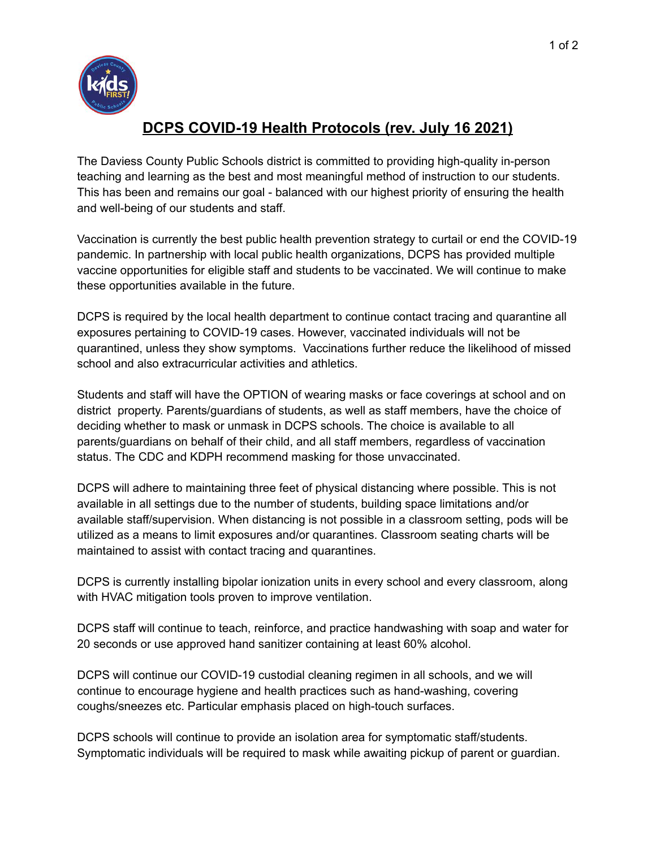

## **DCPS COVID-19 Health Protocols (rev. July 16 2021)**

The Daviess County Public Schools district is committed to providing high-quality in-person teaching and learning as the best and most meaningful method of instruction to our students. This has been and remains our goal - balanced with our highest priority of ensuring the health and well-being of our students and staff.

Vaccination is currently the best public health prevention strategy to curtail or end the COVID-19 pandemic. In partnership with local public health organizations, DCPS has provided multiple vaccine opportunities for eligible staff and students to be vaccinated. We will continue to make these opportunities available in the future.

DCPS is required by the local health department to continue contact tracing and quarantine all exposures pertaining to COVID-19 cases. However, vaccinated individuals will not be quarantined, unless they show symptoms. Vaccinations further reduce the likelihood of missed school and also extracurricular activities and athletics.

Students and staff will have the OPTION of wearing masks or face coverings at school and on district property. Parents/guardians of students, as well as staff members, have the choice of deciding whether to mask or unmask in DCPS schools. The choice is available to all parents/guardians on behalf of their child, and all staff members, regardless of vaccination status. The CDC and KDPH recommend masking for those unvaccinated.

DCPS will adhere to maintaining three feet of physical distancing where possible. This is not available in all settings due to the number of students, building space limitations and/or available staff/supervision. When distancing is not possible in a classroom setting, pods will be utilized as a means to limit exposures and/or quarantines. Classroom seating charts will be maintained to assist with contact tracing and quarantines.

DCPS is currently installing bipolar ionization units in every school and every classroom, along with HVAC mitigation tools proven to improve ventilation.

DCPS staff will continue to teach, reinforce, and practice handwashing with soap and water for 20 seconds or use approved hand sanitizer containing at least 60% alcohol.

DCPS will continue our COVID-19 custodial cleaning regimen in all schools, and we will continue to encourage hygiene and health practices such as hand-washing, covering coughs/sneezes etc. Particular emphasis placed on high-touch surfaces.

DCPS schools will continue to provide an isolation area for symptomatic staff/students. Symptomatic individuals will be required to mask while awaiting pickup of parent or guardian.